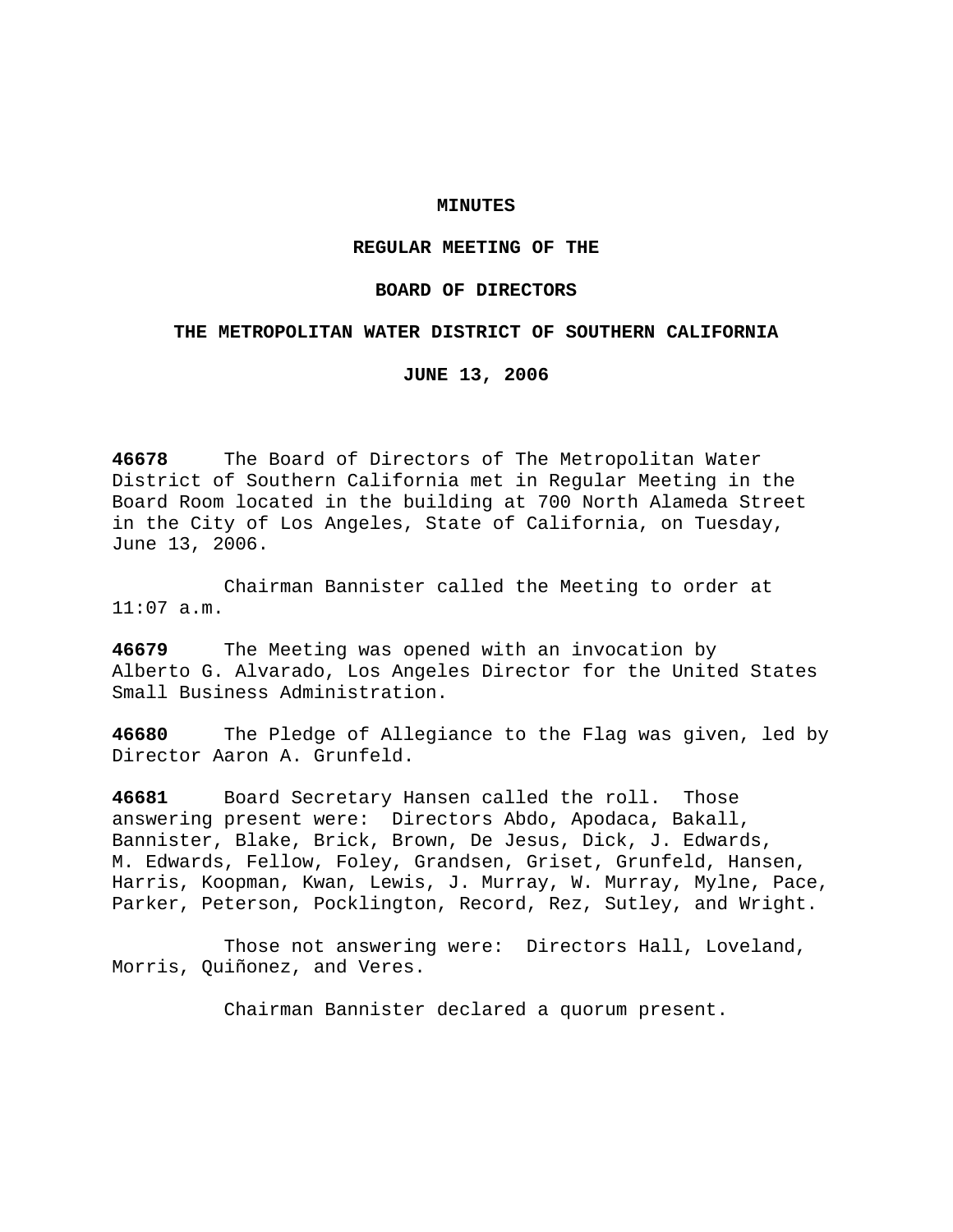### **MINUTES**

## **REGULAR MEETING OF THE**

### **BOARD OF DIRECTORS**

### **THE METROPOLITAN WATER DISTRICT OF SOUTHERN CALIFORNIA**

**JUNE 13, 2006** 

**46678** The Board of Directors of The Metropolitan Water District of Southern California met in Regular Meeting in the Board Room located in the building at 700 North Alameda Street in the City of Los Angeles, State of California, on Tuesday, June 13, 2006.

 Chairman Bannister called the Meeting to order at 11:07 a.m.

**46679** The Meeting was opened with an invocation by Alberto G. Alvarado, Los Angeles Director for the United States Small Business Administration.

**46680** The Pledge of Allegiance to the Flag was given, led by Director Aaron A. Grunfeld.

**46681** Board Secretary Hansen called the roll. Those answering present were: Directors Abdo, Apodaca, Bakall, Bannister, Blake, Brick, Brown, De Jesus, Dick, J. Edwards, M. Edwards, Fellow, Foley, Grandsen, Griset, Grunfeld, Hansen, Harris, Koopman, Kwan, Lewis, J. Murray, W. Murray, Mylne, Pace, Parker, Peterson, Pocklington, Record, Rez, Sutley, and Wright.

 Those not answering were: Directors Hall, Loveland, Morris, Quiñonez, and Veres.

Chairman Bannister declared a quorum present.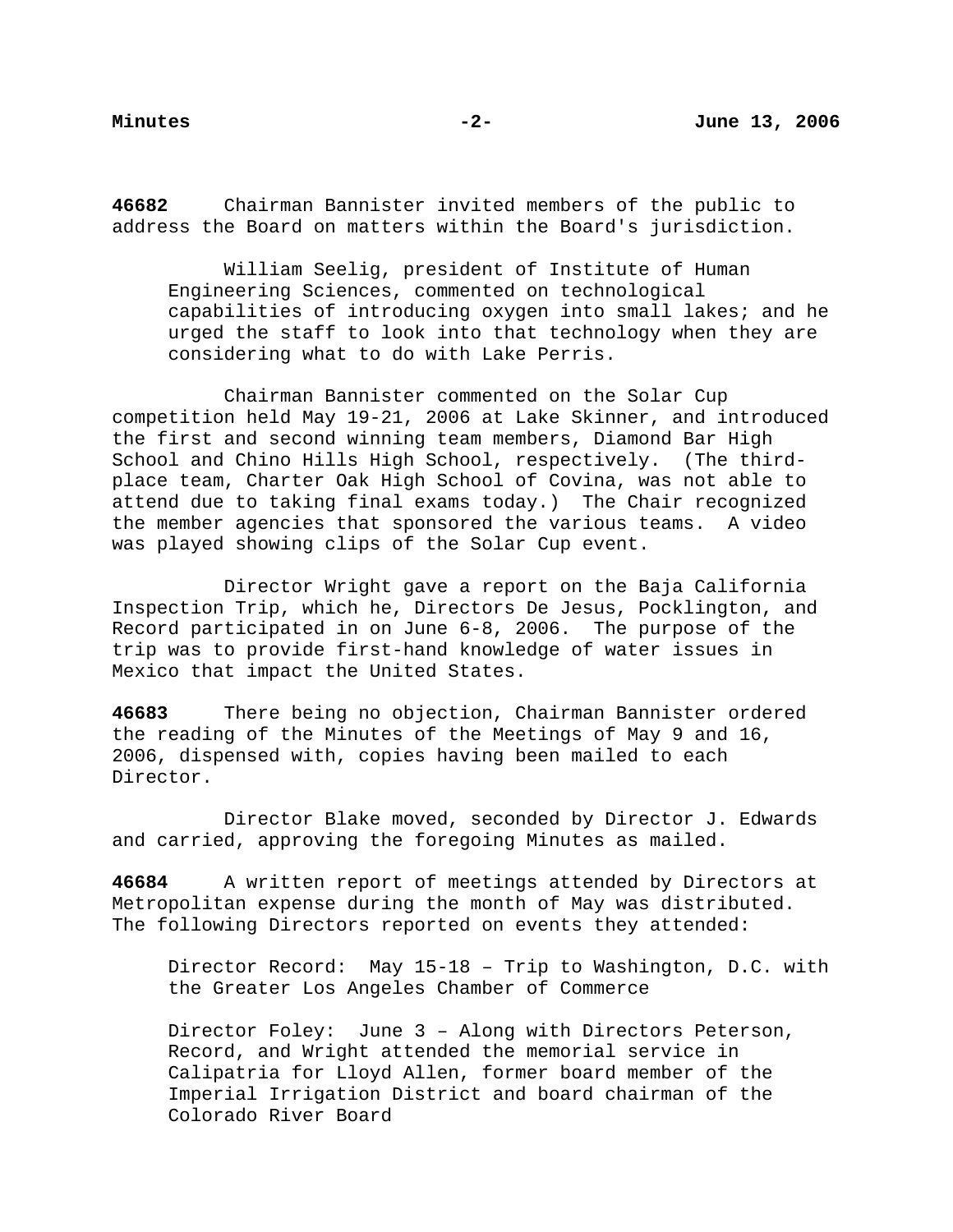**46682** Chairman Bannister invited members of the public to address the Board on matters within the Board's jurisdiction.

 William Seelig, president of Institute of Human Engineering Sciences, commented on technological capabilities of introducing oxygen into small lakes; and he urged the staff to look into that technology when they are considering what to do with Lake Perris.

 Chairman Bannister commented on the Solar Cup competition held May 19-21, 2006 at Lake Skinner, and introduced the first and second winning team members, Diamond Bar High School and Chino Hills High School, respectively. (The thirdplace team, Charter Oak High School of Covina, was not able to attend due to taking final exams today.) The Chair recognized the member agencies that sponsored the various teams. A video was played showing clips of the Solar Cup event.

 Director Wright gave a report on the Baja California Inspection Trip, which he, Directors De Jesus, Pocklington, and Record participated in on June 6-8, 2006. The purpose of the trip was to provide first-hand knowledge of water issues in Mexico that impact the United States.

**46683** There being no objection, Chairman Bannister ordered the reading of the Minutes of the Meetings of May 9 and 16, 2006, dispensed with, copies having been mailed to each Director.

 Director Blake moved, seconded by Director J. Edwards and carried, approving the foregoing Minutes as mailed.

**46684** A written report of meetings attended by Directors at Metropolitan expense during the month of May was distributed. The following Directors reported on events they attended:

 Director Record: May 15-18 – Trip to Washington, D.C. with the Greater Los Angeles Chamber of Commerce

 Director Foley: June 3 – Along with Directors Peterson, Record, and Wright attended the memorial service in Calipatria for Lloyd Allen, former board member of the Imperial Irrigation District and board chairman of the Colorado River Board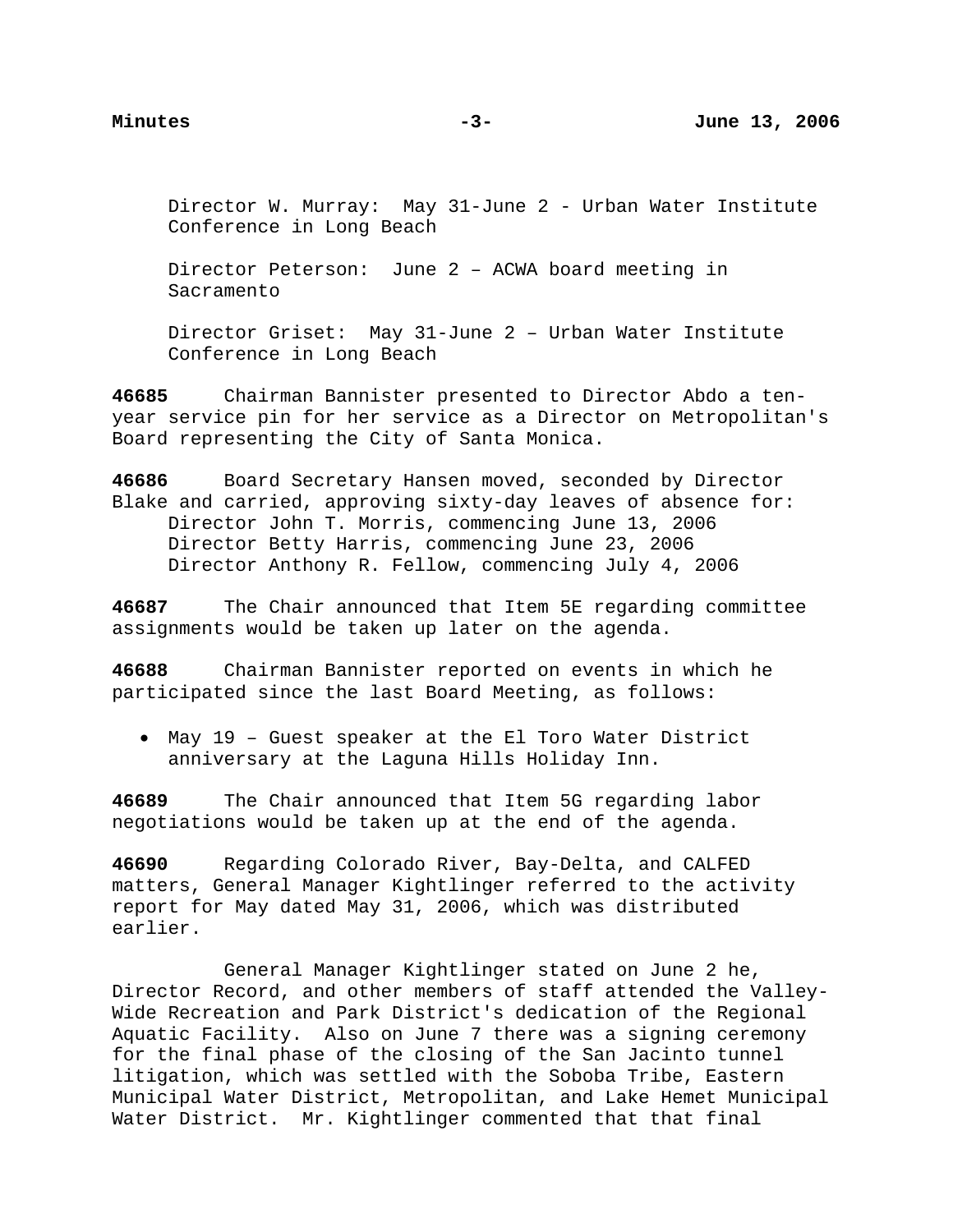Director W. Murray: May 31-June 2 - Urban Water Institute Conference in Long Beach

 Director Peterson: June 2 – ACWA board meeting in Sacramento

 Director Griset: May 31-June 2 – Urban Water Institute Conference in Long Beach

**46685** Chairman Bannister presented to Director Abdo a tenyear service pin for her service as a Director on Metropolitan's Board representing the City of Santa Monica.

**46686** Board Secretary Hansen moved, seconded by Director Blake and carried, approving sixty-day leaves of absence for: Director John T. Morris, commencing June 13, 2006 Director Betty Harris, commencing June 23, 2006 Director Anthony R. Fellow, commencing July 4, 2006

**46687** The Chair announced that Item 5E regarding committee assignments would be taken up later on the agenda.

**46688** Chairman Bannister reported on events in which he participated since the last Board Meeting, as follows:

• May 19 – Guest speaker at the El Toro Water District anniversary at the Laguna Hills Holiday Inn.

**46689** The Chair announced that Item 5G regarding labor negotiations would be taken up at the end of the agenda.

**46690** Regarding Colorado River, Bay-Delta, and CALFED matters, General Manager Kightlinger referred to the activity report for May dated May 31, 2006, which was distributed earlier.

 General Manager Kightlinger stated on June 2 he, Director Record, and other members of staff attended the Valley-Wide Recreation and Park District's dedication of the Regional Aquatic Facility. Also on June 7 there was a signing ceremony for the final phase of the closing of the San Jacinto tunnel litigation, which was settled with the Soboba Tribe, Eastern Municipal Water District, Metropolitan, and Lake Hemet Municipal Water District. Mr. Kightlinger commented that that final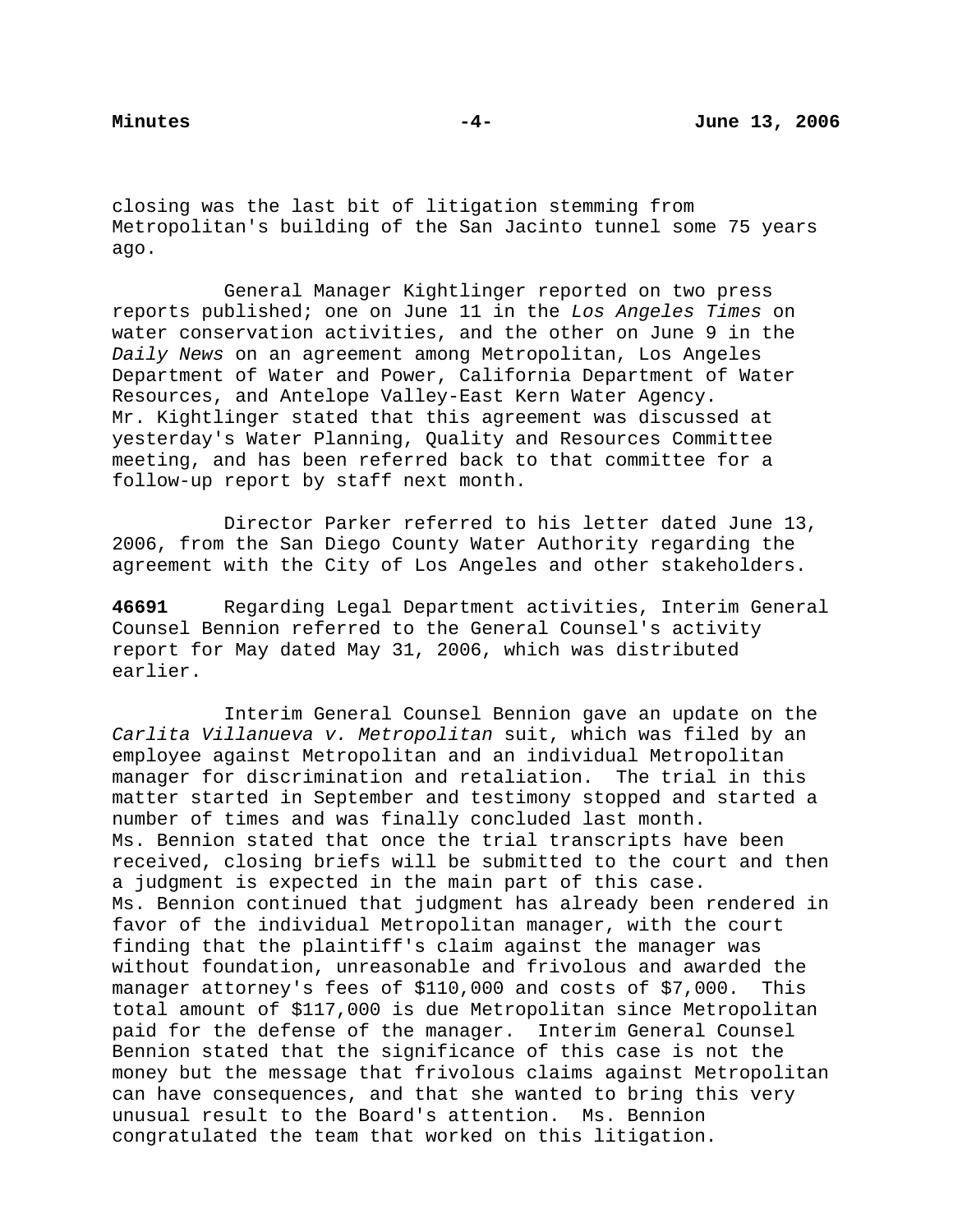closing was the last bit of litigation stemming from Metropolitan's building of the San Jacinto tunnel some 75 years ago.

 General Manager Kightlinger reported on two press reports published; one on June 11 in the *Los Angeles Times* on water conservation activities, and the other on June 9 in the *Daily News* on an agreement among Metropolitan, Los Angeles Department of Water and Power, California Department of Water Resources, and Antelope Valley-East Kern Water Agency. Mr. Kightlinger stated that this agreement was discussed at yesterday's Water Planning, Quality and Resources Committee meeting, and has been referred back to that committee for a follow-up report by staff next month.

 Director Parker referred to his letter dated June 13, 2006, from the San Diego County Water Authority regarding the agreement with the City of Los Angeles and other stakeholders.

**46691** Regarding Legal Department activities, Interim General Counsel Bennion referred to the General Counsel's activity report for May dated May 31, 2006, which was distributed earlier.

 Interim General Counsel Bennion gave an update on the *Carlita Villanueva v. Metropolitan* suit, which was filed by an employee against Metropolitan and an individual Metropolitan manager for discrimination and retaliation. The trial in this matter started in September and testimony stopped and started a number of times and was finally concluded last month. Ms. Bennion stated that once the trial transcripts have been received, closing briefs will be submitted to the court and then a judgment is expected in the main part of this case. Ms. Bennion continued that judgment has already been rendered in favor of the individual Metropolitan manager, with the court finding that the plaintiff's claim against the manager was without foundation, unreasonable and frivolous and awarded the manager attorney's fees of \$110,000 and costs of \$7,000. This total amount of \$117,000 is due Metropolitan since Metropolitan paid for the defense of the manager. Interim General Counsel Bennion stated that the significance of this case is not the money but the message that frivolous claims against Metropolitan can have consequences, and that she wanted to bring this very unusual result to the Board's attention. Ms. Bennion congratulated the team that worked on this litigation.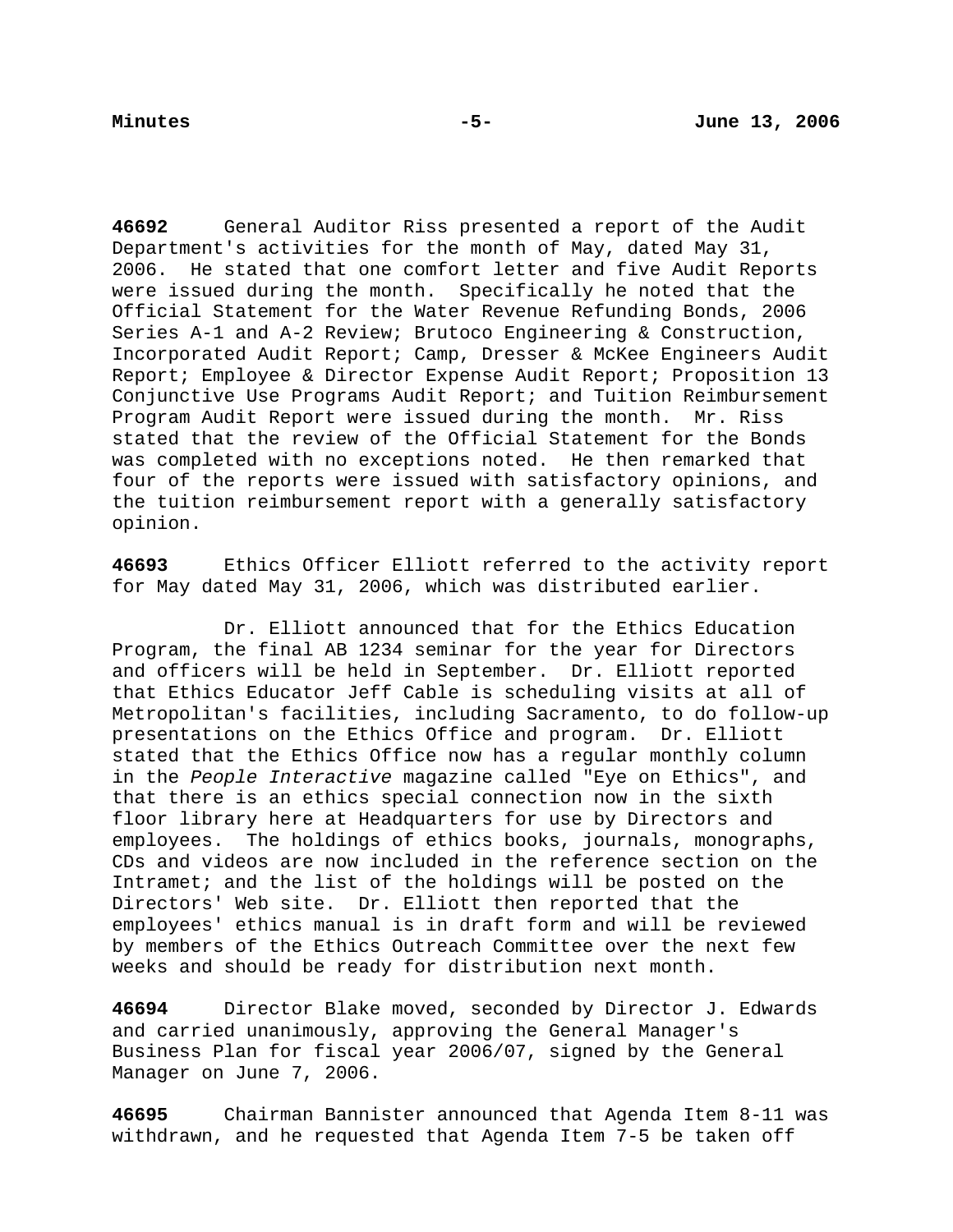**46692** General Auditor Riss presented a report of the Audit Department's activities for the month of May, dated May 31, 2006. He stated that one comfort letter and five Audit Reports were issued during the month. Specifically he noted that the Official Statement for the Water Revenue Refunding Bonds, 2006 Series A-1 and A-2 Review; Brutoco Engineering & Construction, Incorporated Audit Report; Camp, Dresser & McKee Engineers Audit Report; Employee & Director Expense Audit Report; Proposition 13 Conjunctive Use Programs Audit Report; and Tuition Reimbursement Program Audit Report were issued during the month. Mr. Riss stated that the review of the Official Statement for the Bonds was completed with no exceptions noted. He then remarked that four of the reports were issued with satisfactory opinions, and the tuition reimbursement report with a generally satisfactory opinion.

**46693** Ethics Officer Elliott referred to the activity report for May dated May 31, 2006, which was distributed earlier.

 Dr. Elliott announced that for the Ethics Education Program, the final AB 1234 seminar for the year for Directors and officers will be held in September. Dr. Elliott reported that Ethics Educator Jeff Cable is scheduling visits at all of Metropolitan's facilities, including Sacramento, to do follow-up presentations on the Ethics Office and program. Dr. Elliott stated that the Ethics Office now has a regular monthly column in the *People Interactive* magazine called "Eye on Ethics", and that there is an ethics special connection now in the sixth floor library here at Headquarters for use by Directors and employees. The holdings of ethics books, journals, monographs, CDs and videos are now included in the reference section on the Intramet; and the list of the holdings will be posted on the Directors' Web site. Dr. Elliott then reported that the employees' ethics manual is in draft form and will be reviewed by members of the Ethics Outreach Committee over the next few weeks and should be ready for distribution next month.

**46694** Director Blake moved, seconded by Director J. Edwards and carried unanimously, approving the General Manager's Business Plan for fiscal year 2006/07, signed by the General Manager on June 7, 2006.

**46695** Chairman Bannister announced that Agenda Item 8-11 was withdrawn, and he requested that Agenda Item 7-5 be taken off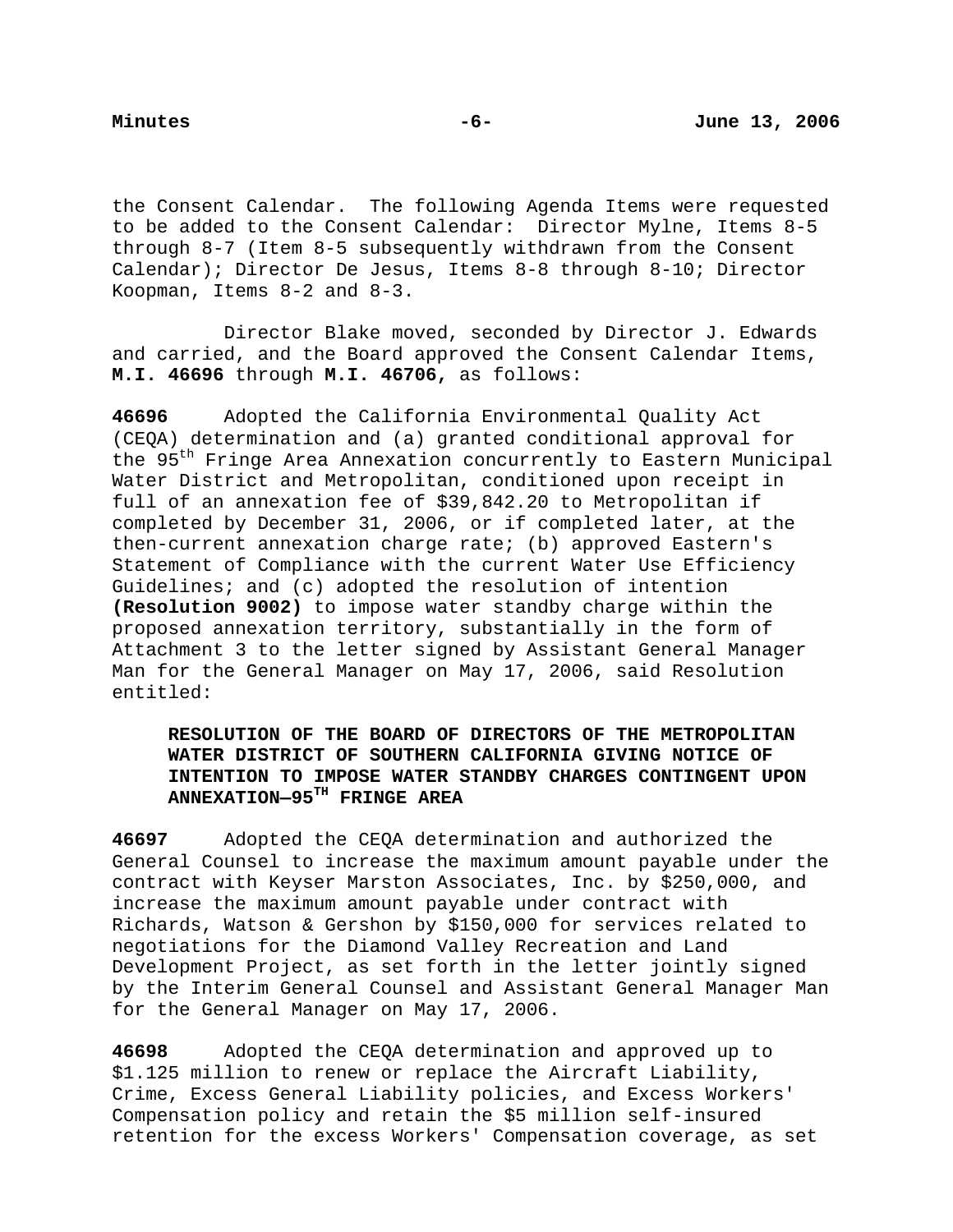the Consent Calendar. The following Agenda Items were requested to be added to the Consent Calendar: Director Mylne, Items 8-5 through 8-7 (Item 8-5 subsequently withdrawn from the Consent Calendar); Director De Jesus, Items 8-8 through 8-10; Director Koopman, Items 8-2 and 8-3.

 Director Blake moved, seconded by Director J. Edwards and carried, and the Board approved the Consent Calendar Items, **M.I. 46696** through **M.I. 46706,** as follows:

**46696** Adopted the California Environmental Quality Act (CEQA) determination and (a) granted conditional approval for the 95<sup>th</sup> Fringe Area Annexation concurrently to Eastern Municipal Water District and Metropolitan, conditioned upon receipt in full of an annexation fee of \$39,842.20 to Metropolitan if completed by December 31, 2006, or if completed later, at the then-current annexation charge rate; (b) approved Eastern's Statement of Compliance with the current Water Use Efficiency Guidelines; and (c) adopted the resolution of intention **(Resolution 9002)** to impose water standby charge within the proposed annexation territory, substantially in the form of Attachment 3 to the letter signed by Assistant General Manager Man for the General Manager on May 17, 2006, said Resolution entitled:

# **RESOLUTION OF THE BOARD OF DIRECTORS OF THE METROPOLITAN WATER DISTRICT OF SOUTHERN CALIFORNIA GIVING NOTICE OF INTENTION TO IMPOSE WATER STANDBY CHARGES CONTINGENT UPON ANNEXATION—95TH FRINGE AREA**

**46697** Adopted the CEQA determination and authorized the General Counsel to increase the maximum amount payable under the contract with Keyser Marston Associates, Inc. by \$250,000, and increase the maximum amount payable under contract with Richards, Watson & Gershon by \$150,000 for services related to negotiations for the Diamond Valley Recreation and Land Development Project, as set forth in the letter jointly signed by the Interim General Counsel and Assistant General Manager Man for the General Manager on May 17, 2006.

**46698** Adopted the CEQA determination and approved up to \$1.125 million to renew or replace the Aircraft Liability, Crime, Excess General Liability policies, and Excess Workers' Compensation policy and retain the \$5 million self-insured retention for the excess Workers' Compensation coverage, as set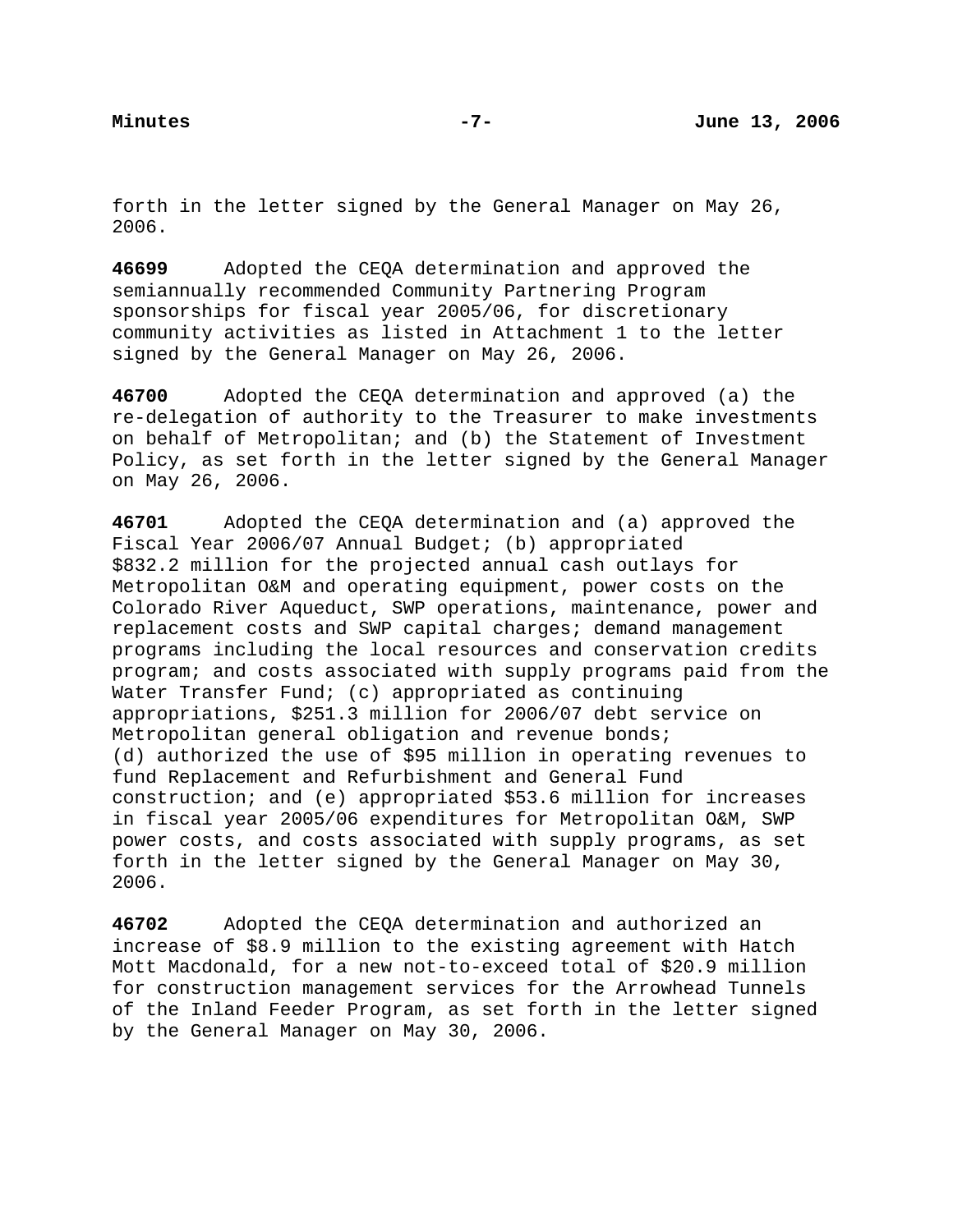forth in the letter signed by the General Manager on May 26, 2006.

**46699** Adopted the CEQA determination and approved the semiannually recommended Community Partnering Program sponsorships for fiscal year 2005/06, for discretionary community activities as listed in Attachment 1 to the letter signed by the General Manager on May 26, 2006.

**46700** Adopted the CEQA determination and approved (a) the re-delegation of authority to the Treasurer to make investments on behalf of Metropolitan; and (b) the Statement of Investment Policy, as set forth in the letter signed by the General Manager on May 26, 2006.

**46701** Adopted the CEQA determination and (a) approved the Fiscal Year 2006/07 Annual Budget; (b) appropriated \$832.2 million for the projected annual cash outlays for Metropolitan O&M and operating equipment, power costs on the Colorado River Aqueduct, SWP operations, maintenance, power and replacement costs and SWP capital charges; demand management programs including the local resources and conservation credits program; and costs associated with supply programs paid from the Water Transfer Fund; (c) appropriated as continuing appropriations, \$251.3 million for 2006/07 debt service on Metropolitan general obligation and revenue bonds; (d) authorized the use of \$95 million in operating revenues to fund Replacement and Refurbishment and General Fund construction; and (e) appropriated \$53.6 million for increases in fiscal year 2005/06 expenditures for Metropolitan O&M, SWP power costs, and costs associated with supply programs, as set forth in the letter signed by the General Manager on May 30, 2006.

**46702** Adopted the CEQA determination and authorized an increase of \$8.9 million to the existing agreement with Hatch Mott Macdonald, for a new not-to-exceed total of \$20.9 million for construction management services for the Arrowhead Tunnels of the Inland Feeder Program, as set forth in the letter signed by the General Manager on May 30, 2006.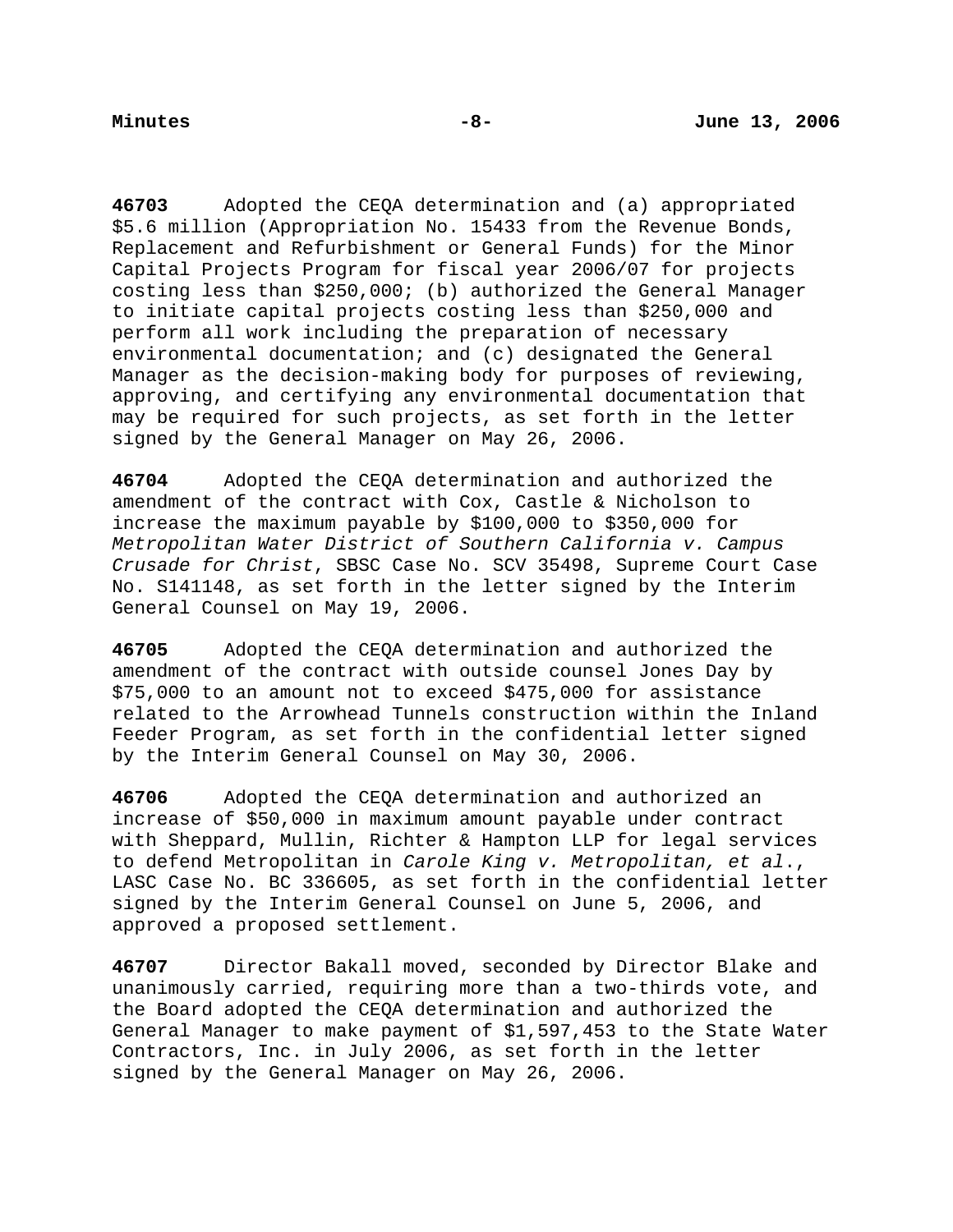**46703** Adopted the CEQA determination and (a) appropriated \$5.6 million (Appropriation No. 15433 from the Revenue Bonds, Replacement and Refurbishment or General Funds) for the Minor Capital Projects Program for fiscal year 2006/07 for projects costing less than \$250,000; (b) authorized the General Manager to initiate capital projects costing less than \$250,000 and perform all work including the preparation of necessary environmental documentation; and (c) designated the General Manager as the decision-making body for purposes of reviewing, approving, and certifying any environmental documentation that may be required for such projects, as set forth in the letter signed by the General Manager on May 26, 2006.

**46704** Adopted the CEQA determination and authorized the amendment of the contract with Cox, Castle & Nicholson to increase the maximum payable by \$100,000 to \$350,000 for *Metropolitan Water District of Southern California v. Campus Crusade for Christ*, SBSC Case No. SCV 35498, Supreme Court Case No. S141148, as set forth in the letter signed by the Interim General Counsel on May 19, 2006.

**46705** Adopted the CEQA determination and authorized the amendment of the contract with outside counsel Jones Day by \$75,000 to an amount not to exceed \$475,000 for assistance related to the Arrowhead Tunnels construction within the Inland Feeder Program, as set forth in the confidential letter signed by the Interim General Counsel on May 30, 2006.

**46706** Adopted the CEQA determination and authorized an increase of \$50,000 in maximum amount payable under contract with Sheppard, Mullin, Richter & Hampton LLP for legal services to defend Metropolitan in *Carole King v. Metropolitan, et al*., LASC Case No. BC 336605, as set forth in the confidential letter signed by the Interim General Counsel on June 5, 2006, and approved a proposed settlement.

**46707** Director Bakall moved, seconded by Director Blake and unanimously carried, requiring more than a two-thirds vote, and the Board adopted the CEQA determination and authorized the General Manager to make payment of \$1,597,453 to the State Water Contractors, Inc. in July 2006, as set forth in the letter signed by the General Manager on May 26, 2006.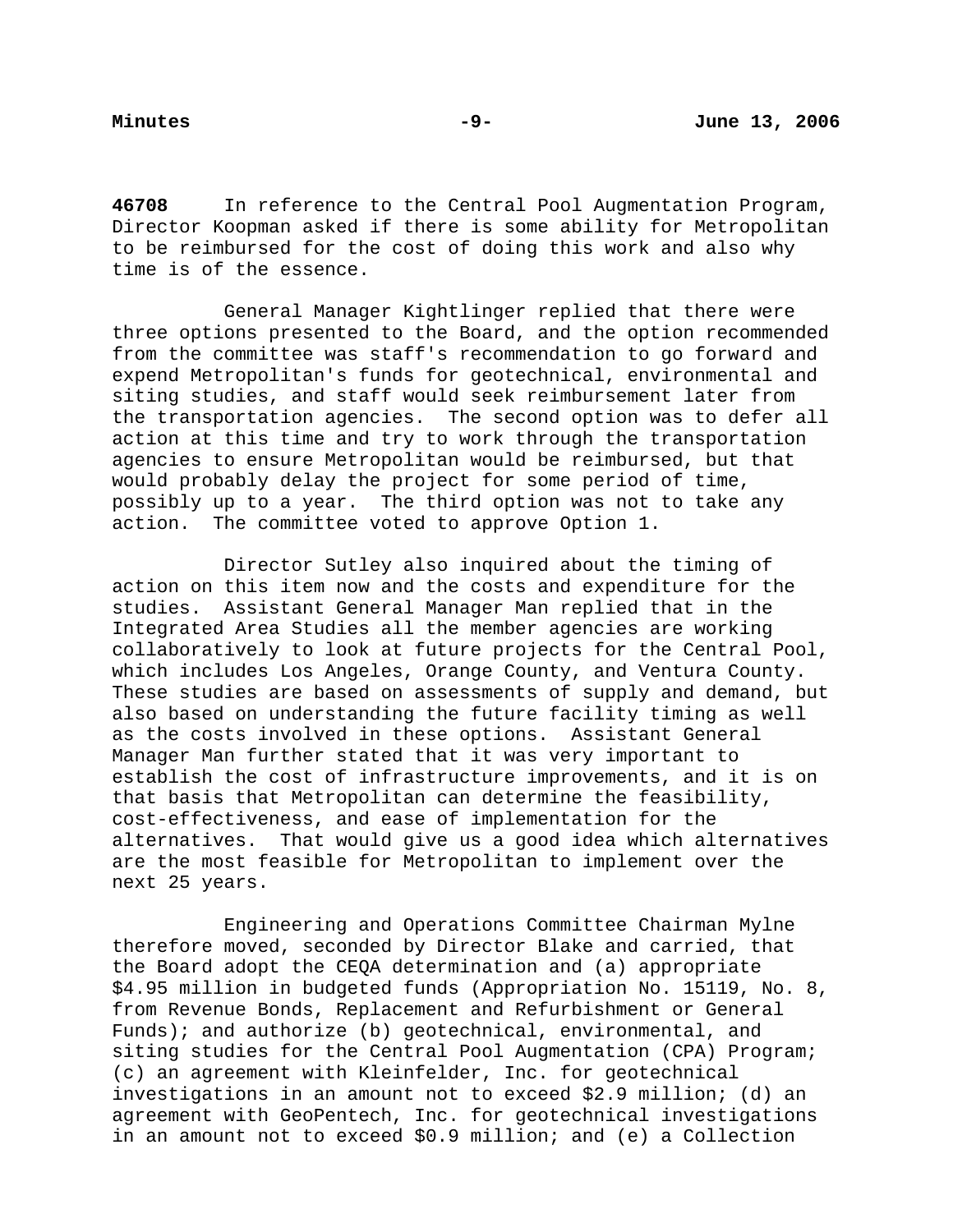**46708** In reference to the Central Pool Augmentation Program, Director Koopman asked if there is some ability for Metropolitan to be reimbursed for the cost of doing this work and also why time is of the essence.

 General Manager Kightlinger replied that there were three options presented to the Board, and the option recommended from the committee was staff's recommendation to go forward and expend Metropolitan's funds for geotechnical, environmental and siting studies, and staff would seek reimbursement later from the transportation agencies. The second option was to defer all action at this time and try to work through the transportation agencies to ensure Metropolitan would be reimbursed, but that would probably delay the project for some period of time, possibly up to a year. The third option was not to take any action. The committee voted to approve Option 1.

 Director Sutley also inquired about the timing of action on this item now and the costs and expenditure for the studies. Assistant General Manager Man replied that in the Integrated Area Studies all the member agencies are working collaboratively to look at future projects for the Central Pool, which includes Los Angeles, Orange County, and Ventura County. These studies are based on assessments of supply and demand, but also based on understanding the future facility timing as well as the costs involved in these options. Assistant General Manager Man further stated that it was very important to establish the cost of infrastructure improvements, and it is on that basis that Metropolitan can determine the feasibility, cost-effectiveness, and ease of implementation for the alternatives. That would give us a good idea which alternatives are the most feasible for Metropolitan to implement over the next 25 years.

 Engineering and Operations Committee Chairman Mylne therefore moved, seconded by Director Blake and carried, that the Board adopt the CEQA determination and (a) appropriate \$4.95 million in budgeted funds (Appropriation No. 15119, No. 8, from Revenue Bonds, Replacement and Refurbishment or General Funds); and authorize (b) geotechnical, environmental, and siting studies for the Central Pool Augmentation (CPA) Program; (c) an agreement with Kleinfelder, Inc. for geotechnical investigations in an amount not to exceed \$2.9 million; (d) an agreement with GeoPentech, Inc. for geotechnical investigations in an amount not to exceed \$0.9 million; and (e) a Collection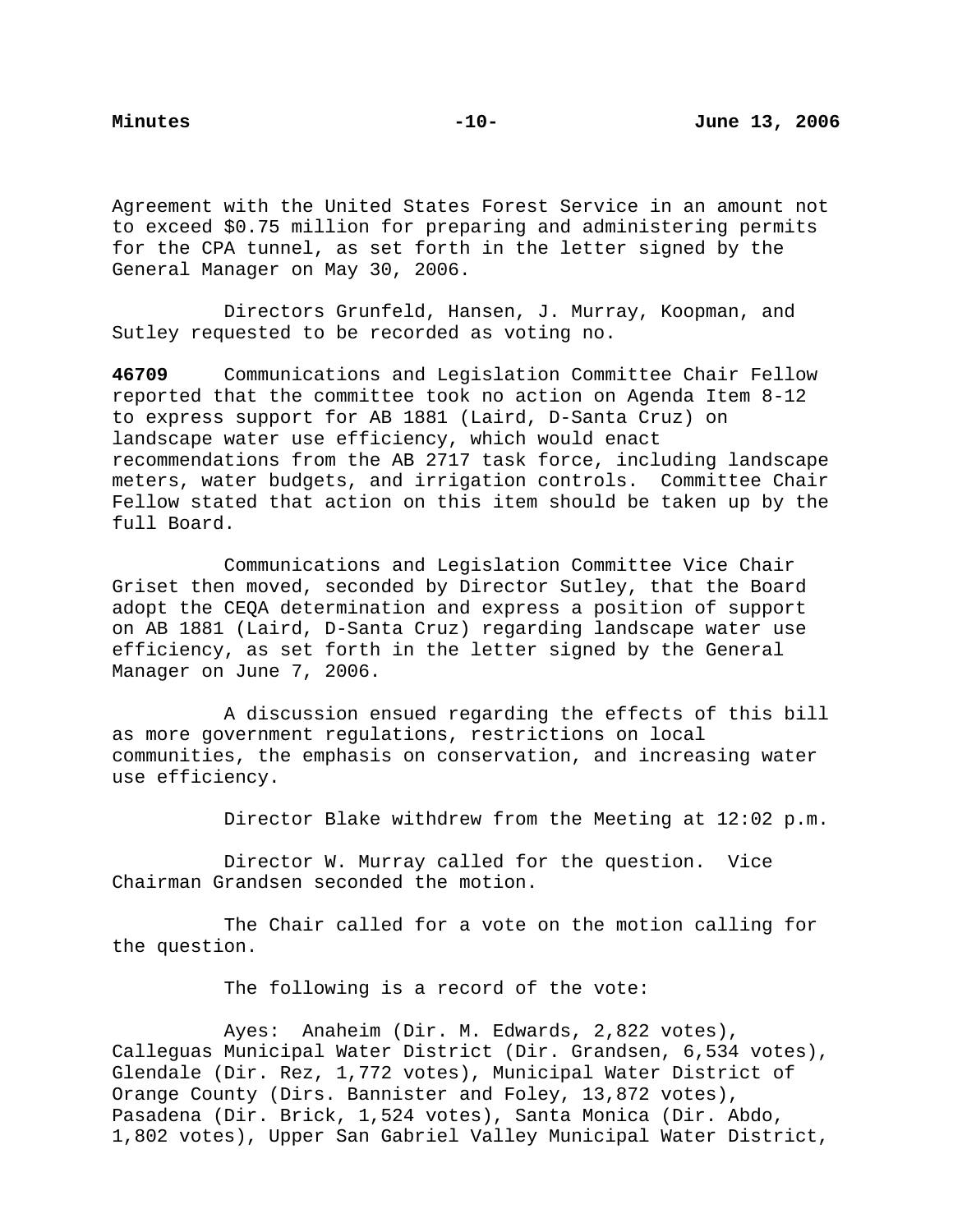Agreement with the United States Forest Service in an amount not to exceed \$0.75 million for preparing and administering permits for the CPA tunnel, as set forth in the letter signed by the General Manager on May 30, 2006.

 Directors Grunfeld, Hansen, J. Murray, Koopman, and Sutley requested to be recorded as voting no.

**46709** Communications and Legislation Committee Chair Fellow reported that the committee took no action on Agenda Item 8-12 to express support for AB 1881 (Laird, D-Santa Cruz) on landscape water use efficiency, which would enact recommendations from the AB 2717 task force, including landscape meters, water budgets, and irrigation controls. Committee Chair Fellow stated that action on this item should be taken up by the full Board.

 Communications and Legislation Committee Vice Chair Griset then moved, seconded by Director Sutley, that the Board adopt the CEQA determination and express a position of support on AB 1881 (Laird, D-Santa Cruz) regarding landscape water use efficiency, as set forth in the letter signed by the General Manager on June 7, 2006.

 A discussion ensued regarding the effects of this bill as more government regulations, restrictions on local communities, the emphasis on conservation, and increasing water use efficiency.

Director Blake withdrew from the Meeting at 12:02 p.m.

 Director W. Murray called for the question. Vice Chairman Grandsen seconded the motion.

 The Chair called for a vote on the motion calling for the question.

The following is a record of the vote:

 Ayes: Anaheim (Dir. M. Edwards, 2,822 votes), Calleguas Municipal Water District (Dir. Grandsen, 6,534 votes), Glendale (Dir. Rez, 1,772 votes), Municipal Water District of Orange County (Dirs. Bannister and Foley, 13,872 votes), Pasadena (Dir. Brick, 1,524 votes), Santa Monica (Dir. Abdo, 1,802 votes), Upper San Gabriel Valley Municipal Water District,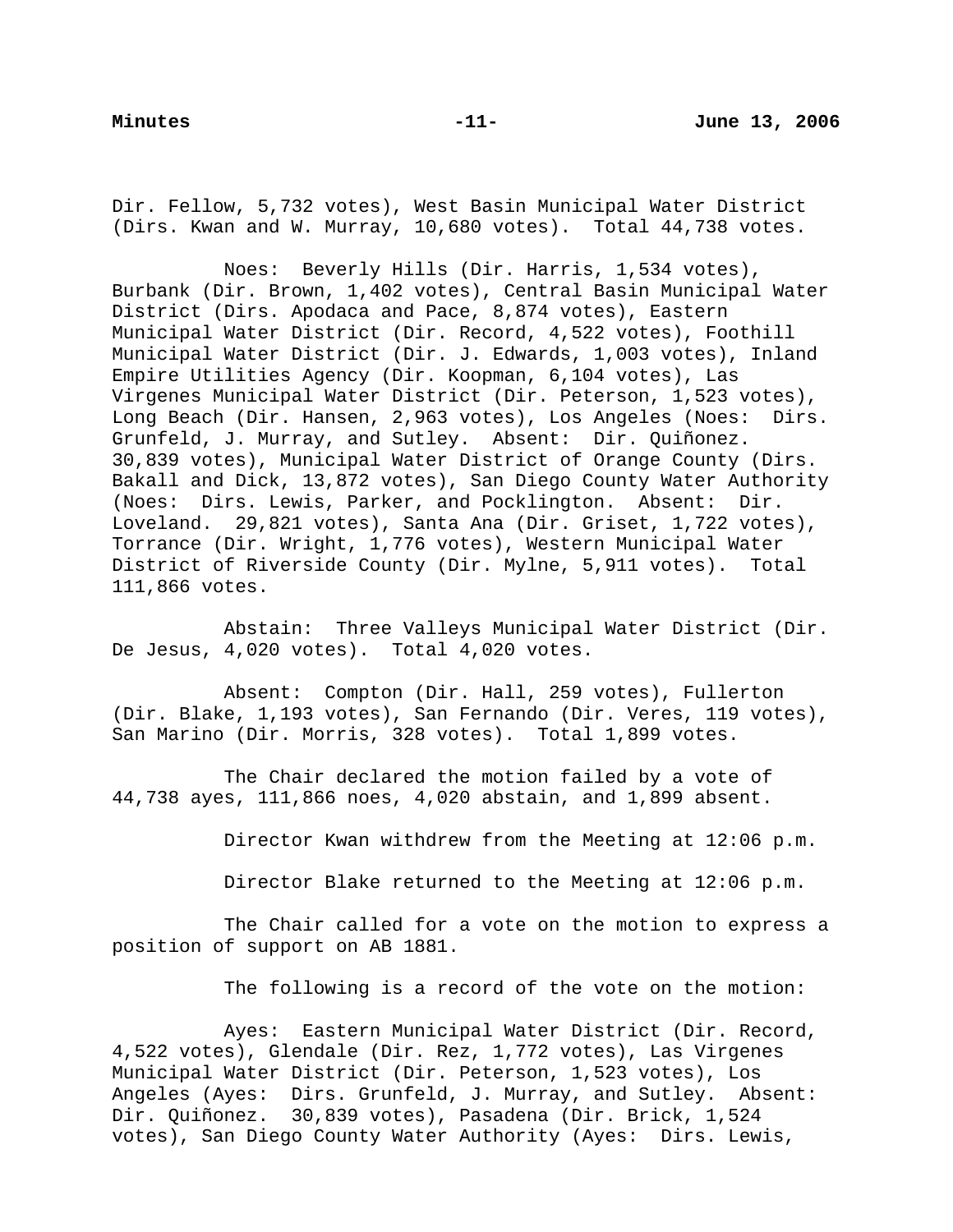Dir. Fellow, 5,732 votes), West Basin Municipal Water District (Dirs. Kwan and W. Murray, 10,680 votes). Total 44,738 votes.

 Noes: Beverly Hills (Dir. Harris, 1,534 votes), Burbank (Dir. Brown, 1,402 votes), Central Basin Municipal Water District (Dirs. Apodaca and Pace, 8,874 votes), Eastern Municipal Water District (Dir. Record, 4,522 votes), Foothill Municipal Water District (Dir. J. Edwards, 1,003 votes), Inland Empire Utilities Agency (Dir. Koopman, 6,104 votes), Las Virgenes Municipal Water District (Dir. Peterson, 1,523 votes), Long Beach (Dir. Hansen, 2,963 votes), Los Angeles (Noes: Dirs. Grunfeld, J. Murray, and Sutley. Absent: Dir. Quiñonez. 30,839 votes), Municipal Water District of Orange County (Dirs. Bakall and Dick, 13,872 votes), San Diego County Water Authority (Noes: Dirs. Lewis, Parker, and Pocklington. Absent: Dir. Loveland. 29,821 votes), Santa Ana (Dir. Griset, 1,722 votes), Torrance (Dir. Wright, 1,776 votes), Western Municipal Water District of Riverside County (Dir. Mylne, 5,911 votes). Total 111,866 votes.

 Abstain: Three Valleys Municipal Water District (Dir. De Jesus, 4,020 votes). Total 4,020 votes.

 Absent: Compton (Dir. Hall, 259 votes), Fullerton (Dir. Blake, 1,193 votes), San Fernando (Dir. Veres, 119 votes), San Marino (Dir. Morris, 328 votes). Total 1,899 votes.

 The Chair declared the motion failed by a vote of 44,738 ayes, 111,866 noes, 4,020 abstain, and 1,899 absent.

Director Kwan withdrew from the Meeting at 12:06 p.m.

Director Blake returned to the Meeting at 12:06 p.m.

 The Chair called for a vote on the motion to express a position of support on AB 1881.

The following is a record of the vote on the motion:

 Ayes: Eastern Municipal Water District (Dir. Record, 4,522 votes), Glendale (Dir. Rez, 1,772 votes), Las Virgenes Municipal Water District (Dir. Peterson, 1,523 votes), Los Angeles (Ayes: Dirs. Grunfeld, J. Murray, and Sutley. Absent: Dir. Quiñonez. 30,839 votes), Pasadena (Dir. Brick, 1,524 votes), San Diego County Water Authority (Ayes: Dirs. Lewis,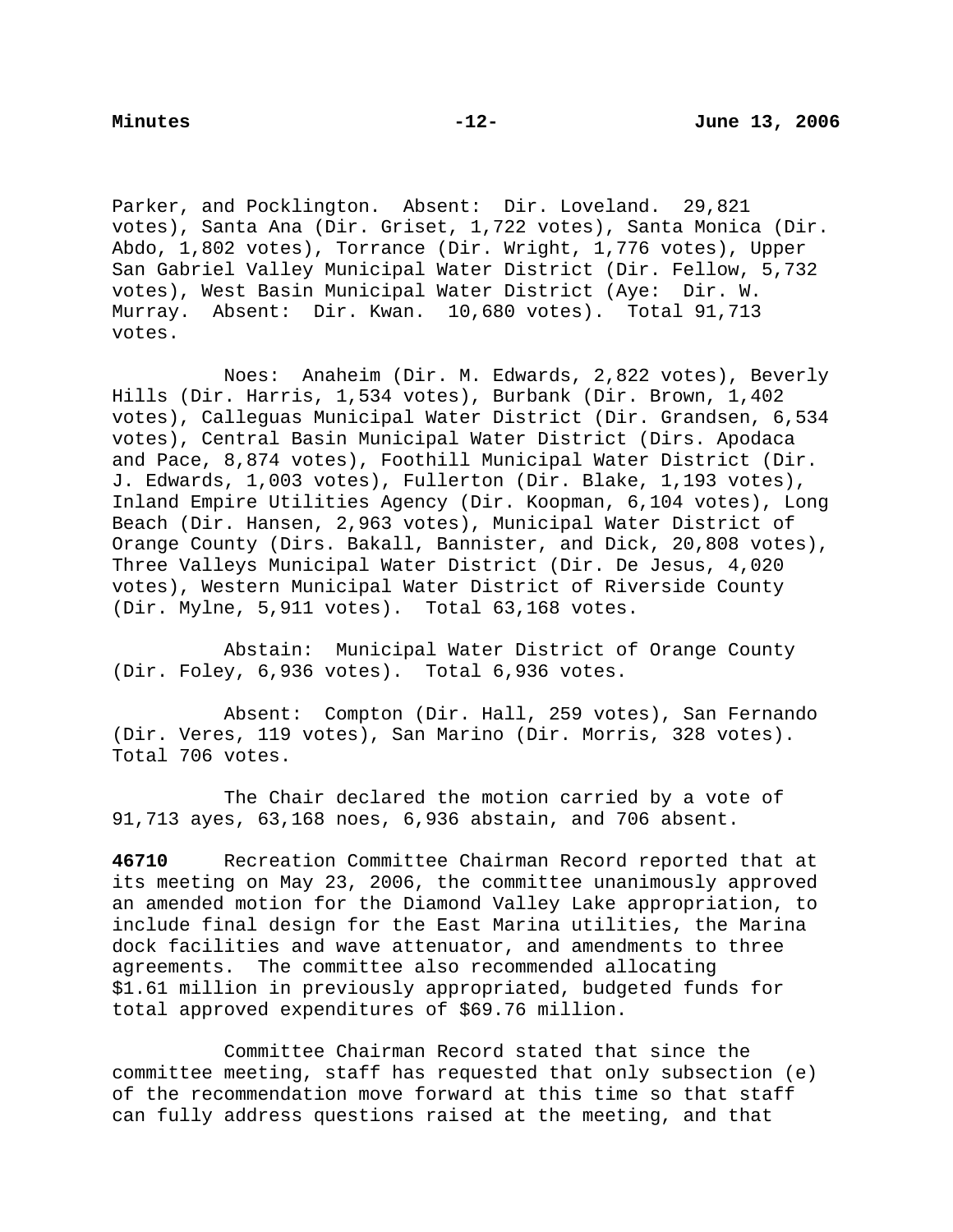Parker, and Pocklington. Absent: Dir. Loveland. 29,821 votes), Santa Ana (Dir. Griset, 1,722 votes), Santa Monica (Dir. Abdo, 1,802 votes), Torrance (Dir. Wright, 1,776 votes), Upper San Gabriel Valley Municipal Water District (Dir. Fellow, 5,732 votes), West Basin Municipal Water District (Aye: Dir. W. Murray. Absent: Dir. Kwan. 10,680 votes). Total 91,713 votes.

 Noes: Anaheim (Dir. M. Edwards, 2,822 votes), Beverly Hills (Dir. Harris, 1,534 votes), Burbank (Dir. Brown, 1,402 votes), Calleguas Municipal Water District (Dir. Grandsen, 6,534 votes), Central Basin Municipal Water District (Dirs. Apodaca and Pace, 8,874 votes), Foothill Municipal Water District (Dir. J. Edwards, 1,003 votes), Fullerton (Dir. Blake, 1,193 votes), Inland Empire Utilities Agency (Dir. Koopman, 6,104 votes), Long Beach (Dir. Hansen, 2,963 votes), Municipal Water District of Orange County (Dirs. Bakall, Bannister, and Dick, 20,808 votes), Three Valleys Municipal Water District (Dir. De Jesus, 4,020 votes), Western Municipal Water District of Riverside County (Dir. Mylne, 5,911 votes). Total 63,168 votes.

 Abstain: Municipal Water District of Orange County (Dir. Foley, 6,936 votes). Total 6,936 votes.

 Absent: Compton (Dir. Hall, 259 votes), San Fernando (Dir. Veres, 119 votes), San Marino (Dir. Morris, 328 votes). Total 706 votes.

 The Chair declared the motion carried by a vote of 91,713 ayes, 63,168 noes, 6,936 abstain, and 706 absent.

**46710** Recreation Committee Chairman Record reported that at its meeting on May 23, 2006, the committee unanimously approved an amended motion for the Diamond Valley Lake appropriation, to include final design for the East Marina utilities, the Marina dock facilities and wave attenuator, and amendments to three agreements. The committee also recommended allocating \$1.61 million in previously appropriated, budgeted funds for total approved expenditures of \$69.76 million.

 Committee Chairman Record stated that since the committee meeting, staff has requested that only subsection (e) of the recommendation move forward at this time so that staff can fully address questions raised at the meeting, and that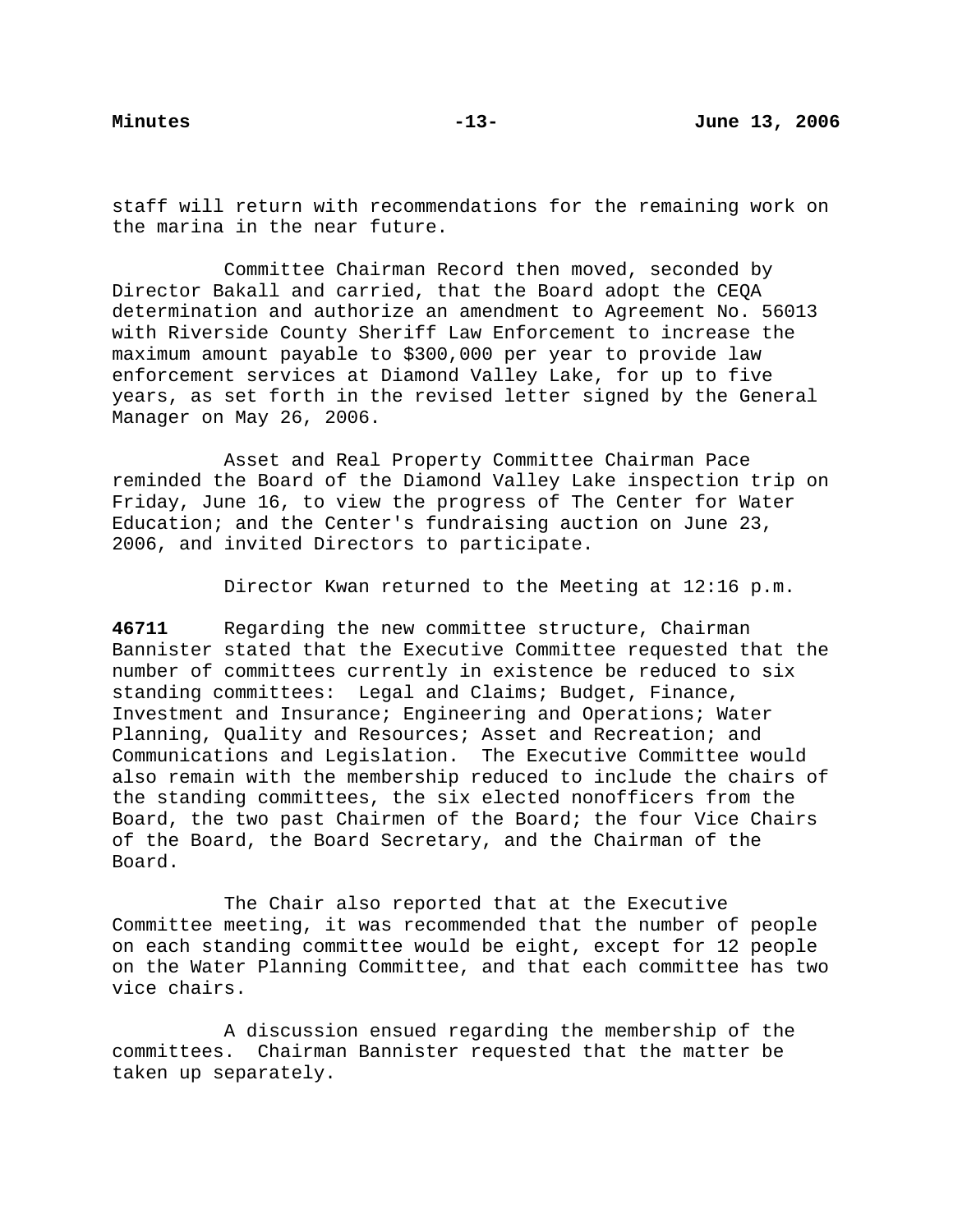staff will return with recommendations for the remaining work on the marina in the near future.

Committee Chairman Record then moved, seconded by Director Bakall and carried, that the Board adopt the CEQA determination and authorize an amendment to Agreement No. 56013 with Riverside County Sheriff Law Enforcement to increase the maximum amount payable to \$300,000 per year to provide law enforcement services at Diamond Valley Lake, for up to five years, as set forth in the revised letter signed by the General Manager on May 26, 2006.

 Asset and Real Property Committee Chairman Pace reminded the Board of the Diamond Valley Lake inspection trip on Friday, June 16, to view the progress of The Center for Water Education; and the Center's fundraising auction on June 23, 2006, and invited Directors to participate.

Director Kwan returned to the Meeting at 12:16 p.m.

**46711** Regarding the new committee structure, Chairman Bannister stated that the Executive Committee requested that the number of committees currently in existence be reduced to six standing committees: Legal and Claims; Budget, Finance, Investment and Insurance; Engineering and Operations; Water Planning, Quality and Resources; Asset and Recreation; and Communications and Legislation. The Executive Committee would also remain with the membership reduced to include the chairs of the standing committees, the six elected nonofficers from the Board, the two past Chairmen of the Board; the four Vice Chairs of the Board, the Board Secretary, and the Chairman of the Board.

 The Chair also reported that at the Executive Committee meeting, it was recommended that the number of people on each standing committee would be eight, except for 12 people on the Water Planning Committee, and that each committee has two vice chairs.

 A discussion ensued regarding the membership of the committees. Chairman Bannister requested that the matter be taken up separately.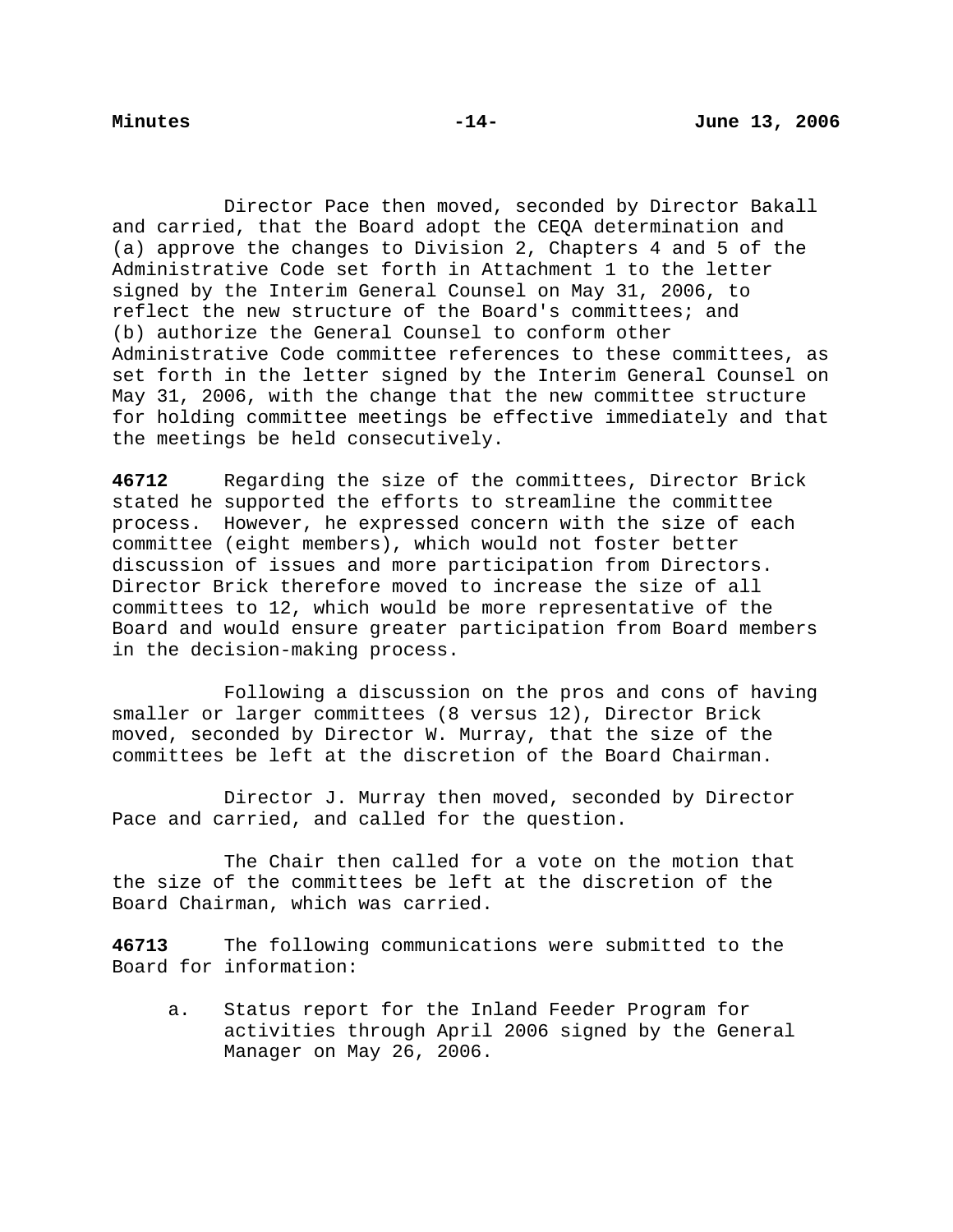Director Pace then moved, seconded by Director Bakall and carried, that the Board adopt the CEQA determination and (a) approve the changes to Division 2, Chapters 4 and 5 of the Administrative Code set forth in Attachment 1 to the letter signed by the Interim General Counsel on May 31, 2006, to reflect the new structure of the Board's committees; and (b) authorize the General Counsel to conform other Administrative Code committee references to these committees, as set forth in the letter signed by the Interim General Counsel on May 31, 2006, with the change that the new committee structure for holding committee meetings be effective immediately and that the meetings be held consecutively.

**46712** Regarding the size of the committees, Director Brick stated he supported the efforts to streamline the committee process. However, he expressed concern with the size of each committee (eight members), which would not foster better discussion of issues and more participation from Directors. Director Brick therefore moved to increase the size of all committees to 12, which would be more representative of the Board and would ensure greater participation from Board members in the decision-making process.

 Following a discussion on the pros and cons of having smaller or larger committees (8 versus 12), Director Brick moved, seconded by Director W. Murray, that the size of the committees be left at the discretion of the Board Chairman.

 Director J. Murray then moved, seconded by Director Pace and carried, and called for the question.

 The Chair then called for a vote on the motion that the size of the committees be left at the discretion of the Board Chairman, which was carried.

**46713** The following communications were submitted to the Board for information:

a. Status report for the Inland Feeder Program for activities through April 2006 signed by the General Manager on May 26, 2006.